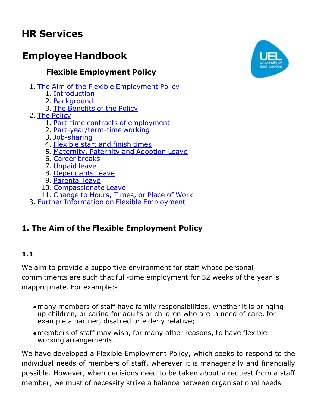# **HR Services**

# **Employee Handbook**

# **Flexible Employment Policy**

- 1. The Aim of the Flexible [Employment](http://dl-cfs-01.uel.ac.uk/internal/hrservices/documents/emhandbook/flexworking.htm#aim) Policy
	- 1. [Introduction](http://dl-cfs-01.uel.ac.uk/internal/hrservices/documents/emhandbook/flexworking.htm#intro)
	- 2. [Background](http://dl-cfs-01.uel.ac.uk/internal/hrservices/documents/emhandbook/flexworking.htm#bckgrnd)
	- 3. The [Benefits](http://dl-cfs-01.uel.ac.uk/internal/hrservices/documents/emhandbook/flexworking.htm#bnpolicy) of the Policy
- 2. The [Policy](http://dl-cfs-01.uel.ac.uk/internal/hrservices/documents/emhandbook/flexworking.htm#policy)
	- 1. Part-time contracts of [employment](http://dl-cfs-01.uel.ac.uk/internal/hrservices/documents/emhandbook/flexworking.htm#partime)
	- 2. [Part-year/term-time](http://dl-cfs-01.uel.ac.uk/internal/hrservices/documents/emhandbook/flexworking.htm#partyear) working
	- 3. [Job-sharing](http://dl-cfs-01.uel.ac.uk/internal/hrservices/documents/emhandbook/flexworking.htm#job)
	- 4. [Flexible](http://dl-cfs-01.uel.ac.uk/internal/hrservices/documents/emhandbook/flexworking.htm#flexi) start and finish times
	- 5. [Maternity,](http://dl-cfs-01.uel.ac.uk/internal/hrservices/documents/emhandbook/flexworking.htm#maternity) Paternity and Adoption Leave
	- 6. Career [breaks](http://dl-cfs-01.uel.ac.uk/internal/hrservices/documents/emhandbook/flexworking.htm#career)
	- 7. [Unpaid](http://dl-cfs-01.uel.ac.uk/internal/hrservices/documents/emhandbook/flexworking.htm#unpaid) leave
	- 8. [Dependants](http://dl-cfs-01.uel.ac.uk/internal/hrservices/documents/emhandbook/flexworking.htm#dependants) Leave
	- 9. [Parental](http://dl-cfs-01.uel.ac.uk/internal/hrservices/documents/emhandbook/flexworking.htm#parental) leave
	- 10. [Compassionate](http://dl-cfs-01.uel.ac.uk/internal/hrservices/documents/emhandbook/flexworking.htm#compan) Leave
	- 11. [Change](http://dl-cfs-01.uel.ac.uk/internal/hrservices/documents/emhandbook/flexworking.htm#change) to Hours, Times, or Place of Work
- 3. Further Information on Flexible [Employment](http://dl-cfs-01.uel.ac.uk/internal/hrservices/documents/emhandbook/flexworking.htm#information)

# **1. The Aim of the Flexible Employment Policy**

### **1.1**

We aim to provide a supportive environment for staff whose personal commitments are such that full-time employment for 52 weeks of the year is inappropriate. For example:-

- many members of staff have family responsibilities, whether it is bringing up children, or caring for adults or children who are in need of care, for example a partner, disabled or elderly relative;
- members of staff may wish, for many other reasons, to have flexible working arrangements.

We have developed a Flexible Employment Policy, which seeks to respond to the individual needs of members of staff, wherever it is managerially and financially possible. However, when decisions need to be taken about a request from a staff member, we must of necessity strike a balance between organisational needs

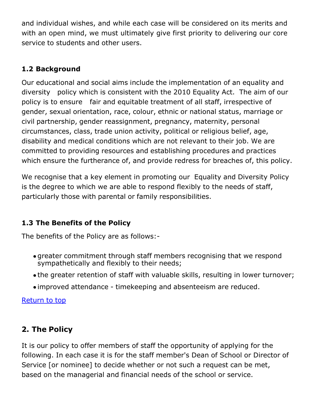and individual wishes, and while each case will be considered on its merits and with an open mind, we must ultimately give first priority to delivering our core service to students and other users.

# **1.2 Background**

Our educational and social aims include the implementation of an equality and diversity policy which is consistent with the 2010 Equality Act. The aim of our policy is to ensure fair and equitable treatment of all staff, irrespective of gender, sexual orientation, race, colour, ethnic or national status, marriage or civil partnership, gender reassignment, pregnancy, maternity, personal circumstances, class, trade union activity, political or religious belief, age, disability and medical conditions which are not relevant to their job. We are committed to providing resources and establishing procedures and practices which ensure the furtherance of, and provide redress for breaches of, this policy.

We recognise that a key element in promoting our Equality and Diversity Policy is the degree to which we are able to respond flexibly to the needs of staff, particularly those with parental or family responsibilities.

## **1.3 The Benefits of the Policy**

The benefits of the Policy are as follows:-

- greater commitment through staff members recognising that we respond sympathetically and flexibly to their needs;
- the greater retention of staff with valuable skills, resulting in lower turnover;
- improved attendance timekeeping and absenteeism are reduced.

[Return](http://dl-cfs-01.uel.ac.uk/internal/hrservices/documents/emhandbook/flexworking.htm) to top

# **2. The Policy**

It is our policy to offer members of staff the opportunity of applying for the following. In each case it is for the staff member's Dean of School or Director of Service [or nominee] to decide whether or not such a request can be met, based on the managerial and financial needs of the school or service.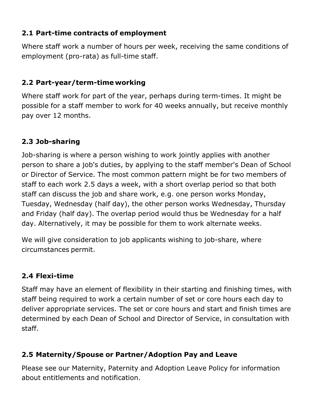## **2.1 Part-time contracts of employment**

Where staff work a number of hours per week, receiving the same conditions of employment (pro-rata) as full-time staff.

## **2.2 Part-year/term-time working**

Where staff work for part of the year, perhaps during term-times. It might be possible for a staff member to work for 40 weeks annually, but receive monthly pay over 12 months.

### **2.3 Job-sharing**

Job-sharing is where a person wishing to work jointly applies with another person to share a job's duties, by applying to the staff member's Dean of School or Director of Service. The most common pattern might be for two members of staff to each work 2.5 days a week, with a short overlap period so that both staff can discuss the job and share work, e.g. one person works Monday, Tuesday, Wednesday (half day), the other person works Wednesday, Thursday and Friday (half day). The overlap period would thus be Wednesday for a half day. Alternatively, it may be possible for them to work alternate weeks.

We will give consideration to job applicants wishing to job-share, where circumstances permit.

### **2.4 Flexi-time**

Staff may have an element of flexibility in their starting and finishing times, with staff being required to work a certain number of set or core hours each day to deliver appropriate services. The set or core hours and start and finish times are determined by each Dean of School and Director of Service, in consultation with staff.

## **2.5 Maternity/Spouse or Partner/Adoption Pay and Leave**

Please see our Maternity, Paternity and Adoption Leave Policy for information about entitlements and notification.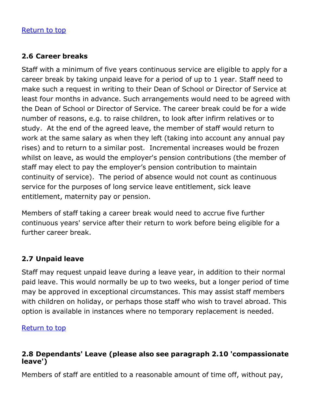#### [Return](http://dl-cfs-01.uel.ac.uk/internal/hrservices/documents/emhandbook/flexworking.htm) to top

#### **2.6 Career breaks**

Staff with a minimum of five years continuous service are eligible to apply for a career break by taking unpaid leave for a period of up to 1 year. Staff need to make such a request in writing to their Dean of School or Director of Service at least four months in advance. Such arrangements would need to be agreed with the Dean of School or Director of Service. The career break could be for a wide number of reasons, e.g. to raise children, to look after infirm relatives or to study. At the end of the agreed leave, the member of staff would return to work at the same salary as when they left (taking into account any annual pay rises) and to return to a similar post. Incremental increases would be frozen whilst on leave, as would the employer's pension contributions (the member of staff may elect to pay the employer's pension contribution to maintain continuity of service). The period of absence would not count as continuous service for the purposes of long service leave entitlement, sick leave entitlement, maternity pay or pension.

Members of staff taking a career break would need to accrue five further continuous years' service after their return to work before being eligible for a further career break.

#### **2.7 Unpaid leave**

Staff may request unpaid leave during a leave year, in addition to their normal paid leave. This would normally be up to two weeks, but a longer period of time may be approved in exceptional circumstances. This may assist staff members with children on holiday, or perhaps those staff who wish to travel abroad. This option is available in instances where no temporary replacement is needed.

[Return](http://dl-cfs-01.uel.ac.uk/internal/hrservices/documents/emhandbook/flexworking.htm) to top

#### **2.8 Dependants' Leave (please also see paragraph 2.10 'compassionate leave')**

Members of staff are entitled to a reasonable amount of time off, without pay,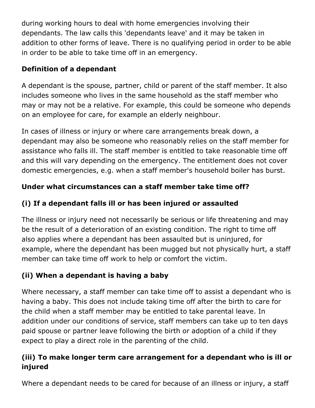during working hours to deal with home emergencies involving their dependants. The law calls this 'dependants leave' and it may be taken in addition to other forms of leave. There is no qualifying period in order to be able in order to be able to take time off in an emergency.

## **Definition of a dependant**

A dependant is the spouse, partner, child or parent of the staff member. It also includes someone who lives in the same household as the staff member who may or may not be a relative. For example, this could be someone who depends on an employee for care, for example an elderly neighbour.

In cases of illness or injury or where care arrangements break down, a dependant may also be someone who reasonably relies on the staff member for assistance who falls ill. The staff member is entitled to take reasonable time off and this will vary depending on the emergency. The entitlement does not cover domestic emergencies, e.g. when a staff member's household boiler has burst.

# **Under what circumstances can a staff member take time off?**

# **(i) If a dependant falls ill or has been injured or assaulted**

The illness or injury need not necessarily be serious or life threatening and may be the result of a deterioration of an existing condition. The right to time off also applies where a dependant has been assaulted but is uninjured, for example, where the dependant has been mugged but not physically hurt, a staff member can take time off work to help or comfort the victim.

# **(ii) When a dependant is having a baby**

Where necessary, a staff member can take time off to assist a dependant who is having a baby. This does not include taking time off after the birth to care for the child when a staff member may be entitled to take parental leave. In addition under our conditions of service, staff members can take up to ten days paid spouse or partner leave following the birth or adoption of a child if they expect to play a direct role in the parenting of the child.

# **(iii) To make longer term care arrangement for a dependant who is ill or injured**

Where a dependant needs to be cared for because of an illness or injury, a staff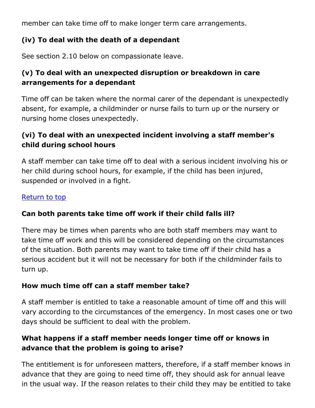member can take time off to make longer term care arrangements.

## **(iv) To deal with the death of a dependant**

See section 2.10 below on compassionate leave.

# **(v) To deal with an unexpected disruption or breakdown in care arrangements for a dependant**

Time off can be taken where the normal carer of the dependant is unexpectedly absent, for example, a childminder or nurse fails to turn up or the nursery or nursing home closes unexpectedly.

## **(vi) To deal with an unexpected incident involving a staff member's child during school hours**

A staff member can take time off to deal with a serious incident involving his or her child during school hours, for example, if the child has been injured, suspended or involved in a fight.

#### [Return](http://dl-cfs-01.uel.ac.uk/internal/hrservices/documents/emhandbook/flexworking.htm) to top

### **Can both parents take time off work if their child falls ill?**

There may be times when parents who are both staff members may want to take time off work and this will be considered depending on the circumstances of the situation. Both parents may want to take time off if their child has a serious accident but it will not be necessary for both if the childminder fails to turn up.

### **How much time off can a staff member take?**

A staff member is entitled to take a reasonable amount of time off and this will vary according to the circumstances of the emergency. In most cases one or two days should be sufficient to deal with the problem.

## **What happens if a staff member needs longer time off or knows in advance that the problem is going to arise?**

The entitlement is for unforeseen matters, therefore, if a staff member knows in advance that they are going to need time off, they should ask for annual leave in the usual way. If the reason relates to their child they may be entitled to take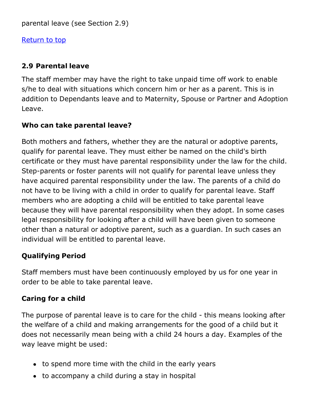#### [Return](http://dl-cfs-01.uel.ac.uk/internal/hrservices/documents/emhandbook/flexworking.htm) to top

## **2.9 Parental leave**

The staff member may have the right to take unpaid time off work to enable s/he to deal with situations which concern him or her as a parent. This is in addition to Dependants leave and to Maternity, Spouse or Partner and Adoption Leave.

## **Who can take parental leave?**

Both mothers and fathers, whether they are the natural or adoptive parents, qualify for parental leave. They must either be named on the child's birth certificate or they must have parental responsibility under the law for the child. Step-parents or foster parents will not qualify for parental leave unless they have acquired parental responsibility under the law. The parents of a child do not have to be living with a child in order to qualify for parental leave. Staff members who are adopting a child will be entitled to take parental leave because they will have parental responsibility when they adopt. In some cases legal responsibility for looking after a child will have been given to someone other than a natural or adoptive parent, such as a guardian. In such cases an individual will be entitled to parental leave.

## **Qualifying Period**

Staff members must have been continuously employed by us for one year in order to be able to take parental leave.

### **Caring for a child**

The purpose of parental leave is to care for the child - this means looking after the welfare of a child and making arrangements for the good of a child but it does not necessarily mean being with a child 24 hours a day. Examples of the way leave might be used:

- to spend more time with the child in the early years
- to accompany a child during a stay in hospital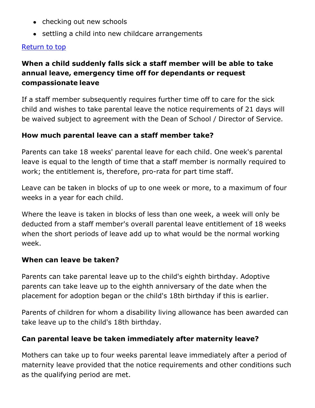- checking out new schools
- settling a child into new childcare arrangements

#### [Return](http://dl-cfs-01.uel.ac.uk/internal/hrservices/documents/emhandbook/flexworking.htm) to top

## **When a child suddenly falls sick a staff member will be able to take annual leave, emergency time off for dependants or request compassionate leave**

If a staff member subsequently requires further time off to care for the sick child and wishes to take parental leave the notice requirements of 21 days will be waived subject to agreement with the Dean of School / Director of Service.

#### **How much parental leave can a staff member take?**

Parents can take 18 weeks' parental leave for each child. One week's parental leave is equal to the length of time that a staff member is normally required to work; the entitlement is, therefore, pro-rata for part time staff.

Leave can be taken in blocks of up to one week or more, to a maximum of four weeks in a year for each child.

Where the leave is taken in blocks of less than one week, a week will only be deducted from a staff member's overall parental leave entitlement of 18 weeks when the short periods of leave add up to what would be the normal working week.

#### **When can leave be taken?**

Parents can take parental leave up to the child's eighth birthday. Adoptive parents can take leave up to the eighth anniversary of the date when the placement for adoption began or the child's 18th birthday if this is earlier.

Parents of children for whom a disability living allowance has been awarded can take leave up to the child's 18th birthday.

#### **Can parental leave be taken immediately after maternity leave?**

Mothers can take up to four weeks parental leave immediately after a period of maternity leave provided that the notice requirements and other conditions such as the qualifying period are met.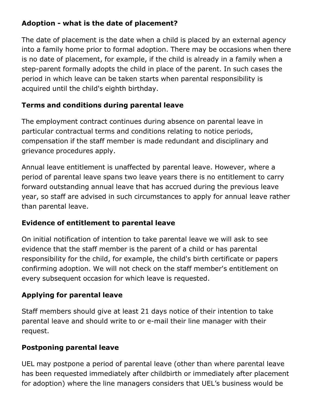## **Adoption - what is the date of placement?**

The date of placement is the date when a child is placed by an external agency into a family home prior to formal adoption. There may be occasions when there is no date of placement, for example, if the child is already in a family when a step-parent formally adopts the child in place of the parent. In such cases the period in which leave can be taken starts when parental responsibility is acquired until the child's eighth birthday.

## **Terms and conditions during parental leave**

The employment contract continues during absence on parental leave in particular contractual terms and conditions relating to notice periods, compensation if the staff member is made redundant and disciplinary and grievance procedures apply.

Annual leave entitlement is unaffected by parental leave. However, where a period of parental leave spans two leave years there is no entitlement to carry forward outstanding annual leave that has accrued during the previous leave year, so staff are advised in such circumstances to apply for annual leave rather than parental leave.

### **Evidence of entitlement to parental leave**

On initial notification of intention to take parental leave we will ask to see evidence that the staff member is the parent of a child or has parental responsibility for the child, for example, the child's birth certificate or papers confirming adoption. We will not check on the staff member's entitlement on every subsequent occasion for which leave is requested.

## **Applying for parental leave**

Staff members should give at least 21 days notice of their intention to take parental leave and should write to or e-mail their line manager with their request.

### **Postponing parental leave**

UEL may postpone a period of parental leave (other than where parental leave has been requested immediately after childbirth or immediately after placement for adoption) where the line managers considers that UEL's business would be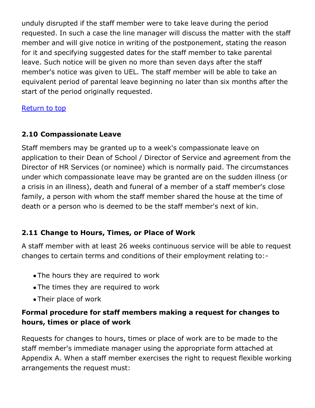unduly disrupted if the staff member were to take leave during the period requested. In such a case the line manager will discuss the matter with the staff member and will give notice in writing of the postponement, stating the reason for it and specifying suggested dates for the staff member to take parental leave. Such notice will be given no more than seven days after the staff member's notice was given to UEL. The staff member will be able to take an equivalent period of parental leave beginning no later than six months after the start of the period originally requested.

[Return](http://dl-cfs-01.uel.ac.uk/internal/hrservices/documents/emhandbook/flexworking.htm) to top

#### **2.10 Compassionate Leave**

Staff members may be granted up to a week's compassionate leave on application to their Dean of School / Director of Service and agreement from the Director of HR Services (or nominee) which is normally paid. The circumstances under which compassionate leave may be granted are on the sudden illness (or a crisis in an illness), death and funeral of a member of a staff member's close family, a person with whom the staff member shared the house at the time of death or a person who is deemed to be the staff member's next of kin.

#### **2.11 Change to Hours, Times, or Place of Work**

A staff member with at least 26 weeks continuous service will be able to request changes to certain terms and conditions of their employment relating to:-

- The hours they are required to work
- The times they are required to work
- Their place of work

## **Formal procedure for staff members making a request for changes to hours, times or place of work**

Requests for changes to hours, times or place of work are to be made to the staff member's immediate manager using the appropriate form attached at Appendix A. When a staff member exercises the right to request flexible working arrangements the request must: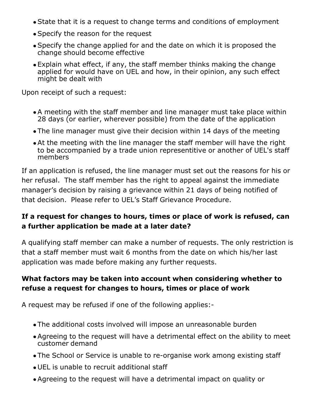- State that it is a request to change terms and conditions of employment
- Specify the reason for the request
- Specify the change applied for and the date on which it is proposed the change should become effective
- Explain what effect, if any, the staff member thinks making the change applied for would have on UEL and how, in their opinion, any such effect might be dealt with

Upon receipt of such a request:

- A meeting with the staff member and line manager must take place within 28 days (or earlier, wherever possible) from the date of the application
- The line manager must give their decision within 14 days of the meeting
- At the meeting with the line manager the staff member will have the right to be accompanied by a trade union representitive or another of UEL's staff members

If an application is refused, the line manager must set out the reasons for his or her refusal. The staff member has the right to appeal against the immediate manager's decision by raising a grievance within 21 days of being notified of that decision. Please refer to UEL's Staff Grievance Procedure.

## **If a request for changes to hours, times or place of work is refused, can a further application be made at a later date?**

A qualifying staff member can make a number of requests. The only restriction is that a staff member must wait 6 months from the date on which his/her last application was made before making any further requests.

## **What factors may be taken into account when considering whether to refuse a request for changes to hours, times or place of work**

A request may be refused if one of the following applies:-

- The additional costs involved will impose an unreasonable burden
- Agreeing to the request will have a detrimental effect on the ability to meet customer demand
- The School or Service is unable to re-organise work among existing staff
- UEL is unable to recruit additional staff
- Agreeing to the request will have a detrimental impact on quality or